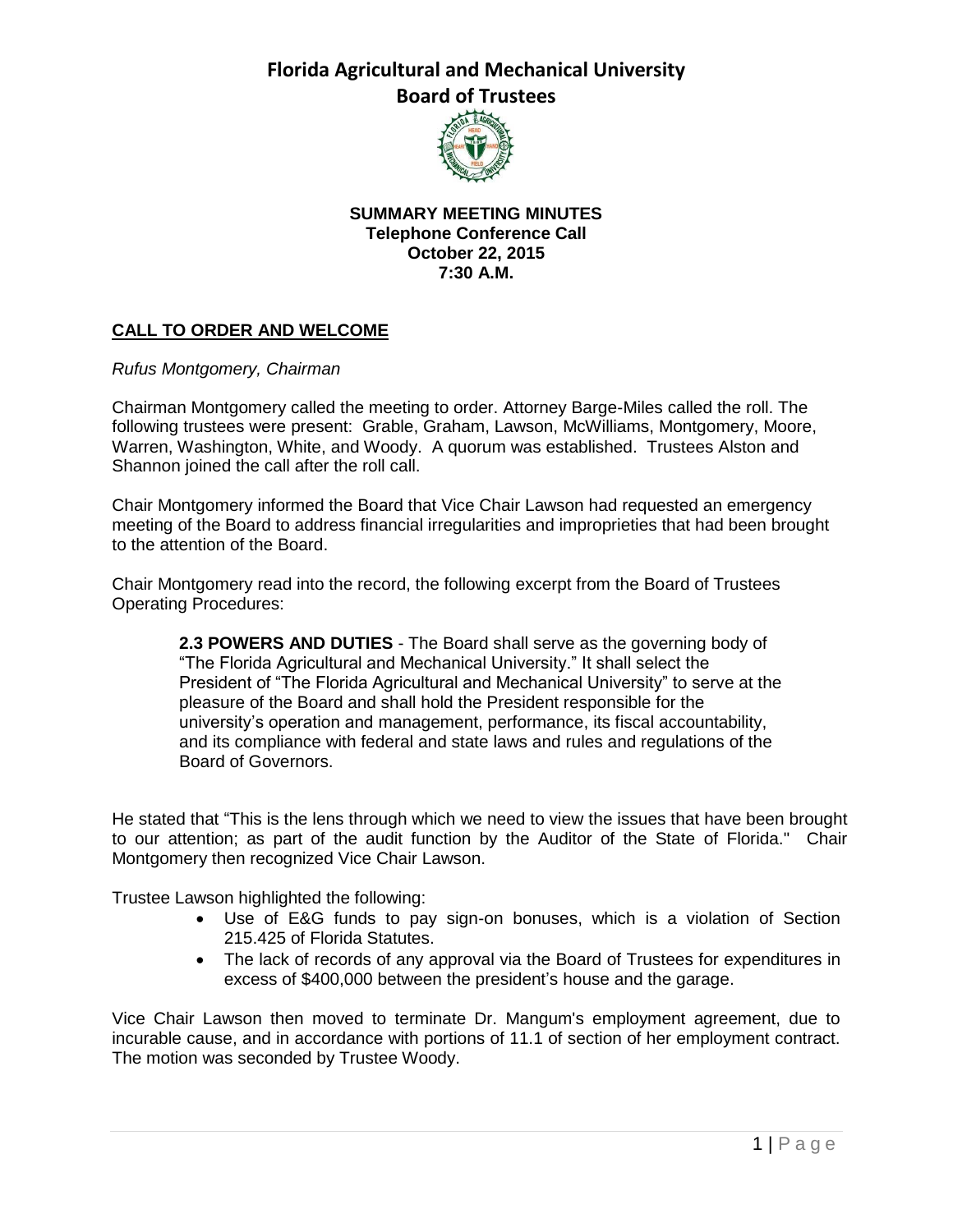

**SUMMARY MEETING MINUTES Telephone Conference Call October 22, 2015 7:30 A.M.**

## **CALL TO ORDER AND WELCOME**

*Rufus Montgomery, Chairman*

Chairman Montgomery called the meeting to order. Attorney Barge-Miles called the roll. The following trustees were present: Grable, Graham, Lawson, McWilliams, Montgomery, Moore, Warren, Washington, White, and Woody. A quorum was established. Trustees Alston and Shannon joined the call after the roll call.

Chair Montgomery informed the Board that Vice Chair Lawson had requested an emergency meeting of the Board to address financial irregularities and improprieties that had been brought to the attention of the Board.

Chair Montgomery read into the record, the following excerpt from the Board of Trustees Operating Procedures:

**2.3 POWERS AND DUTIES** - The Board shall serve as the governing body of "The Florida Agricultural and Mechanical University." It shall select the President of "The Florida Agricultural and Mechanical University" to serve at the pleasure of the Board and shall hold the President responsible for the university's operation and management, performance, its fiscal accountability, and its compliance with federal and state laws and rules and regulations of the Board of Governors.

He stated that "This is the lens through which we need to view the issues that have been brought to our attention; as part of the audit function by the Auditor of the State of Florida." Chair Montgomery then recognized Vice Chair Lawson.

Trustee Lawson highlighted the following:

- Use of E&G funds to pay sign-on bonuses, which is a violation of Section 215.425 of Florida Statutes.
- The lack of records of any approval via the Board of Trustees for expenditures in excess of \$400,000 between the president's house and the garage.

Vice Chair Lawson then moved to terminate Dr. Mangum's employment agreement, due to incurable cause, and in accordance with portions of 11.1 of section of her employment contract. The motion was seconded by Trustee Woody.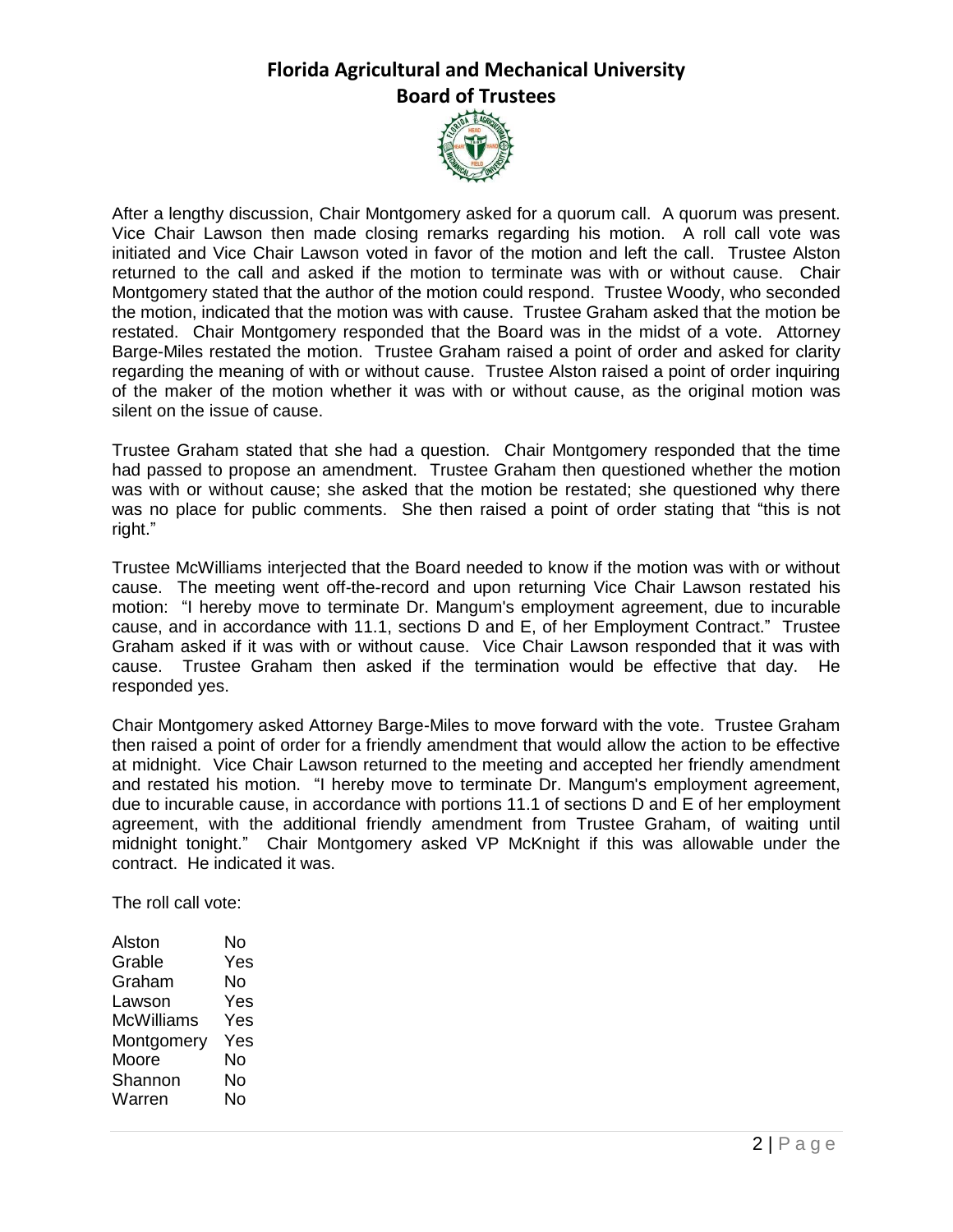

After a lengthy discussion, Chair Montgomery asked for a quorum call. A quorum was present. Vice Chair Lawson then made closing remarks regarding his motion. A roll call vote was initiated and Vice Chair Lawson voted in favor of the motion and left the call. Trustee Alston returned to the call and asked if the motion to terminate was with or without cause. Chair Montgomery stated that the author of the motion could respond. Trustee Woody, who seconded the motion, indicated that the motion was with cause. Trustee Graham asked that the motion be restated. Chair Montgomery responded that the Board was in the midst of a vote. Attorney Barge-Miles restated the motion. Trustee Graham raised a point of order and asked for clarity regarding the meaning of with or without cause. Trustee Alston raised a point of order inquiring of the maker of the motion whether it was with or without cause, as the original motion was silent on the issue of cause.

Trustee Graham stated that she had a question. Chair Montgomery responded that the time had passed to propose an amendment. Trustee Graham then questioned whether the motion was with or without cause; she asked that the motion be restated; she questioned why there was no place for public comments. She then raised a point of order stating that "this is not right."

Trustee McWilliams interjected that the Board needed to know if the motion was with or without cause. The meeting went off-the-record and upon returning Vice Chair Lawson restated his motion: "I hereby move to terminate Dr. Mangum's employment agreement, due to incurable cause, and in accordance with 11.1, sections D and E, of her Employment Contract." Trustee Graham asked if it was with or without cause. Vice Chair Lawson responded that it was with cause. Trustee Graham then asked if the termination would be effective that day. He responded yes.

Chair Montgomery asked Attorney Barge-Miles to move forward with the vote. Trustee Graham then raised a point of order for a friendly amendment that would allow the action to be effective at midnight. Vice Chair Lawson returned to the meeting and accepted her friendly amendment and restated his motion. "I hereby move to terminate Dr. Mangum's employment agreement, due to incurable cause, in accordance with portions 11.1 of sections D and E of her employment agreement, with the additional friendly amendment from Trustee Graham, of waiting until midnight tonight." Chair Montgomery asked VP McKnight if this was allowable under the contract. He indicated it was.

The roll call vote:

| Alston     | No  |
|------------|-----|
| Grable     | Yes |
| Graham     | Nο  |
| Lawson     | Yes |
| McWilliams | Yes |
| Montgomery | Yes |
| Moore      | No  |
| Shannon    | No  |
| Warren     | Nο  |
|            |     |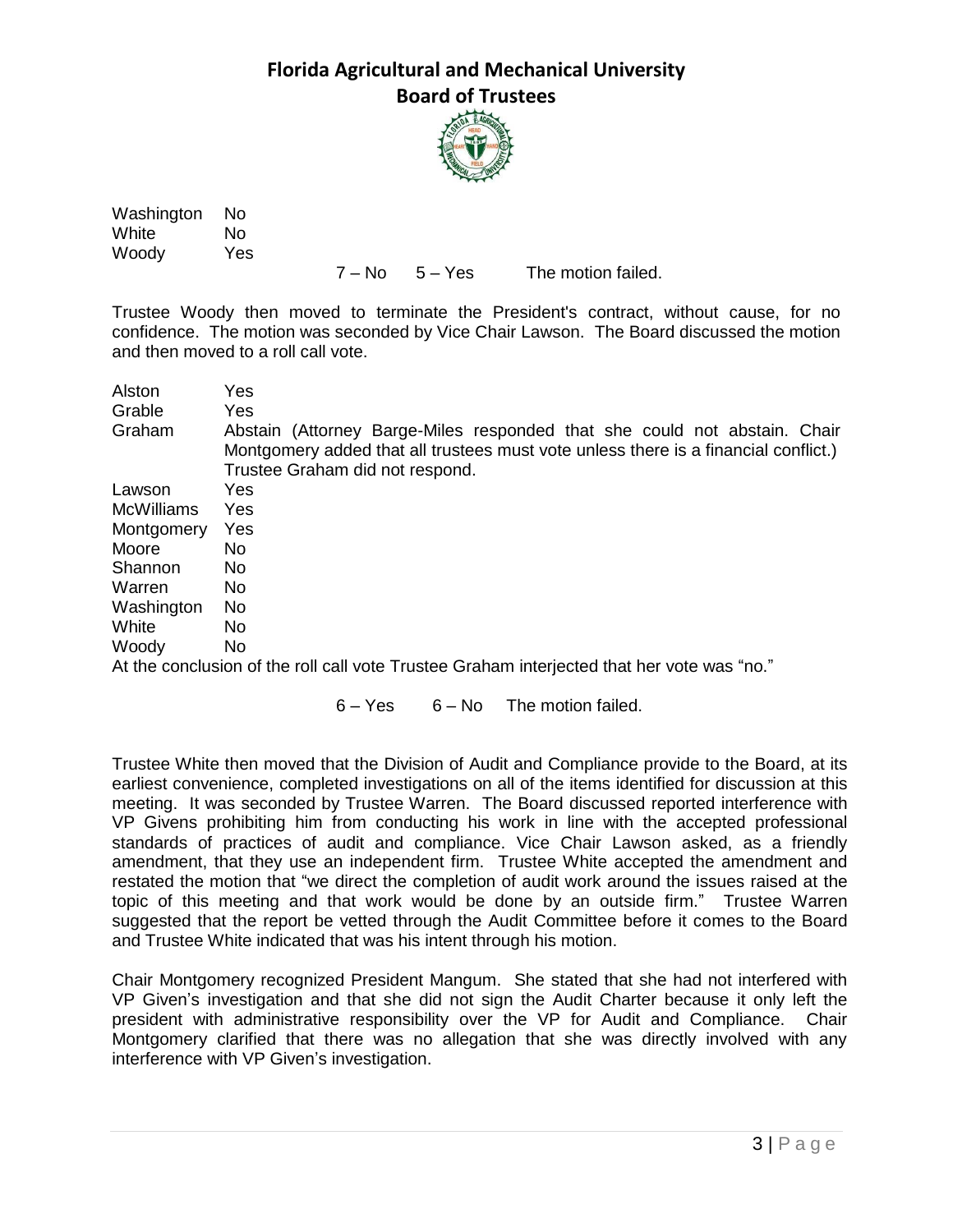

Washington No White No Woody Yes

7 – No 5 – Yes The motion failed.

Trustee Woody then moved to terminate the President's contract, without cause, for no confidence. The motion was seconded by Vice Chair Lawson. The Board discussed the motion and then moved to a roll call vote.

| Alston            | Yes                                                                                              |
|-------------------|--------------------------------------------------------------------------------------------------|
| Grable            | <b>Yes</b>                                                                                       |
| Graham            | Abstain (Attorney Barge-Miles responded that she could not abstain. Chair                        |
|                   | Montgomery added that all trustees must vote unless there is a financial conflict.)              |
|                   | Trustee Graham did not respond.                                                                  |
| Lawson            | Yes                                                                                              |
| <b>McWilliams</b> | Yes                                                                                              |
| Montgomery        | Yes                                                                                              |
| Moore             | No.                                                                                              |
| Shannon           | <b>No</b>                                                                                        |
| Warren            | No.                                                                                              |
| Washington        | No.                                                                                              |
| White             | No.                                                                                              |
| Woody             | No.                                                                                              |
|                   | $\Lambda$ the conclusion of the rell call veta Trustee Crabom interipated that ber vata was "no" |

At the conclusion of the roll call vote Trustee Graham interjected that her vote was "no."

 $6 - Yes$   $6 - No$  The motion failed.

Trustee White then moved that the Division of Audit and Compliance provide to the Board, at its earliest convenience, completed investigations on all of the items identified for discussion at this meeting. It was seconded by Trustee Warren. The Board discussed reported interference with VP Givens prohibiting him from conducting his work in line with the accepted professional standards of practices of audit and compliance. Vice Chair Lawson asked, as a friendly amendment, that they use an independent firm. Trustee White accepted the amendment and restated the motion that "we direct the completion of audit work around the issues raised at the topic of this meeting and that work would be done by an outside firm." Trustee Warren suggested that the report be vetted through the Audit Committee before it comes to the Board and Trustee White indicated that was his intent through his motion.

Chair Montgomery recognized President Mangum. She stated that she had not interfered with VP Given's investigation and that she did not sign the Audit Charter because it only left the president with administrative responsibility over the VP for Audit and Compliance. Chair Montgomery clarified that there was no allegation that she was directly involved with any interference with VP Given's investigation.